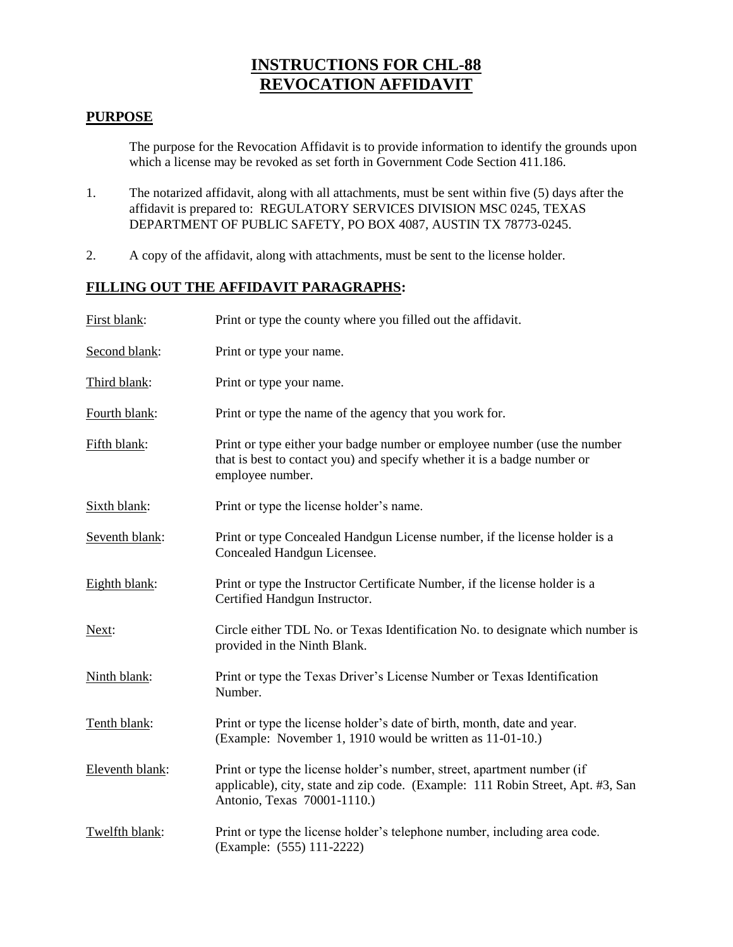## **INSTRUCTIONS FOR CHL-88 REVOCATION AFFIDAVIT**

## **PURPOSE**

The purpose for the Revocation Affidavit is to provide information to identify the grounds upon which a license may be revoked as set forth in Government Code Section 411.186.

- 1. The notarized affidavit, along with all attachments, must be sent within five (5) days after the affidavit is prepared to: REGULATORY SERVICES DIVISION MSC 0245, TEXAS DEPARTMENT OF PUBLIC SAFETY, PO BOX 4087, AUSTIN TX 78773-0245.
- 2. A copy of the affidavit, along with attachments, must be sent to the license holder.

## **FILLING OUT THE AFFIDAVIT PARAGRAPHS:**

| First blank:    | Print or type the county where you filled out the affidavit.                                                                                                                              |  |
|-----------------|-------------------------------------------------------------------------------------------------------------------------------------------------------------------------------------------|--|
| Second blank:   | Print or type your name.                                                                                                                                                                  |  |
| Third blank:    | Print or type your name.                                                                                                                                                                  |  |
| Fourth blank:   | Print or type the name of the agency that you work for.                                                                                                                                   |  |
| Fifth blank:    | Print or type either your badge number or employee number (use the number<br>that is best to contact you) and specify whether it is a badge number or<br>employee number.                 |  |
| Sixth blank:    | Print or type the license holder's name.                                                                                                                                                  |  |
| Seventh blank:  | Print or type Concealed Handgun License number, if the license holder is a<br>Concealed Handgun Licensee.                                                                                 |  |
| Eighth blank:   | Print or type the Instructor Certificate Number, if the license holder is a<br>Certified Handgun Instructor.                                                                              |  |
| Next:           | Circle either TDL No. or Texas Identification No. to designate which number is<br>provided in the Ninth Blank.                                                                            |  |
| Ninth blank:    | Print or type the Texas Driver's License Number or Texas Identification<br>Number.                                                                                                        |  |
| Tenth blank:    | Print or type the license holder's date of birth, month, date and year.<br>(Example: November 1, 1910 would be written as 11-01-10.)                                                      |  |
| Eleventh blank: | Print or type the license holder's number, street, apartment number (if<br>applicable), city, state and zip code. (Example: 111 Robin Street, Apt. #3, San<br>Antonio, Texas 70001-1110.) |  |
| Twelfth blank:  | Print or type the license holder's telephone number, including area code.<br>(Example: (555) 111-2222)                                                                                    |  |